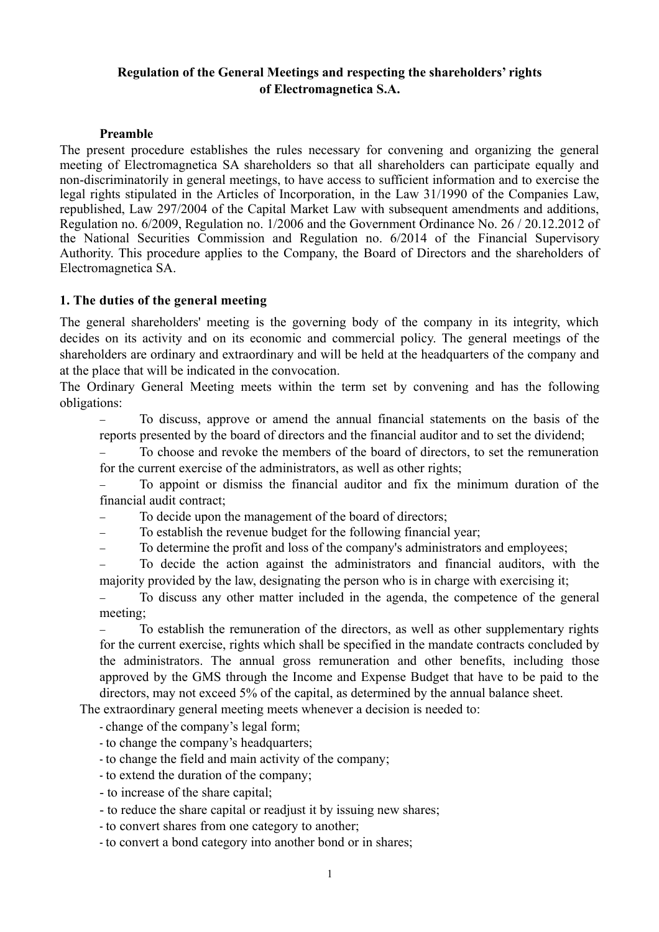## **Regulation of the General Meetings and respecting the shareholders' rights of Electromagnetica S.A.**

#### **Preamble**

The present procedure establishes the rules necessary for convening and organizing the general meeting of Electromagnetica SA shareholders so that all shareholders can participate equally and non-discriminatorily in general meetings, to have access to sufficient information and to exercise the legal rights stipulated in the Articles of Incorporation, in the Law 31/1990 of the Companies Law, republished, Law 297/2004 of the Capital Market Law with subsequent amendments and additions, Regulation no. 6/2009, Regulation no. 1/2006 and the Government Ordinance No. 26 / 20.12.2012 of the National Securities Commission and Regulation no. 6/2014 of the Financial Supervisory Authority. This procedure applies to the Company, the Board of Directors and the shareholders of Electromagnetica SA.

#### **1. The duties of the general meeting**

The general shareholders' meeting is the governing body of the company in its integrity, which decides on its activity and on its economic and commercial policy. The general meetings of the shareholders are ordinary and extraordinary and will be held at the headquarters of the company and at the place that will be indicated in the convocation.

The Ordinary General Meeting meets within the term set by convening and has the following obligations:

- To discuss, approve or amend the annual financial statements on the basis of the reports presented by the board of directors and the financial auditor and to set the dividend;

To choose and revoke the members of the board of directors, to set the remuneration for the current exercise of the administrators, as well as other rights;

- To appoint or dismiss the financial auditor and fix the minimum duration of the financial audit contract;

To decide upon the management of the board of directors;

- To establish the revenue budget for the following financial year;

- To determine the profit and loss of the company's administrators and employees;

- To decide the action against the administrators and financial auditors, with the majority provided by the law, designating the person who is in charge with exercising it;

- To discuss any other matter included in the agenda, the competence of the general meeting;

To establish the remuneration of the directors, as well as other supplementary rights for the current exercise, rights which shall be specified in the mandate contracts concluded by the administrators. The annual gross remuneration and other benefits, including those approved by the GMS through the Income and Expense Budget that have to be paid to the directors, may not exceed 5% of the capital, as determined by the annual balance sheet.

The extraordinary general meeting meets whenever a decision is needed to:

- change of the company's legal form;

- to change the company's headquarters;
- to change the field and main activity of the company;
- to extend the duration of the company;
- to increase of the share capital;
- to reduce the share capital or readjust it by issuing new shares;
- to convert shares from one category to another;
- to convert a bond category into another bond or in shares;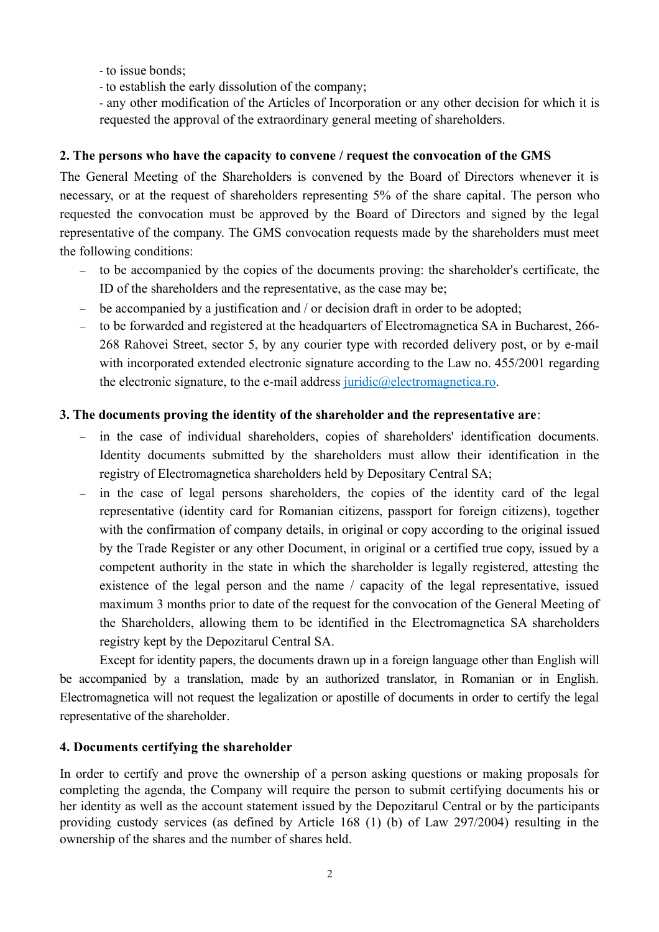- to issue bonds;
- to establish the early dissolution of the company;

- any other modification of the Articles of Incorporation or any other decision for which it is requested the approval of the extraordinary general meeting of shareholders.

## **2. The persons who have the capacity to convene / request the convocation of the GMS**

The General Meeting of the Shareholders is convened by the Board of Directors whenever it is necessary, or at the request of shareholders representing 5% of the share capital. The person who requested the convocation must be approved by the Board of Directors and signed by the legal representative of the company. The GMS convocation requests made by the shareholders must meet the following conditions:

- to be accompanied by the copies of the documents proving: the shareholder's certificate, the ID of the shareholders and the representative, as the case may be;
- be accompanied by a justification and / or decision draft in order to be adopted;
- to be forwarded and registered at the headquarters of Electromagnetica SA in Bucharest, 266- 268 Rahovei Street, sector 5, by any courier type with recorded delivery post, or by e-mail with incorporated extended electronic signature according to the Law no. 455/2001 regarding the electronic signature, to the e-mail address juridic@electromagnetica.ro.

## **3. The documents proving the identity of the shareholder and the representative are**:

- in the case of individual shareholders, copies of shareholders' identification documents. Identity documents submitted by the shareholders must allow their identification in the registry of Electromagnetica shareholders held by Depositary Central SA;
- in the case of legal persons shareholders, the copies of the identity card of the legal representative (identity card for Romanian citizens, passport for foreign citizens), together with the confirmation of company details, in original or copy according to the original issued by the Trade Register or any other Document, in original or a certified true copy, issued by a competent authority in the state in which the shareholder is legally registered, attesting the existence of the legal person and the name / capacity of the legal representative, issued maximum 3 months prior to date of the request for the convocation of the General Meeting of the Shareholders, allowing them to be identified in the Electromagnetica SA shareholders registry kept by the Depozitarul Central SA.

Except for identity papers, the documents drawn up in a foreign language other than English will be accompanied by a translation, made by an authorized translator, in Romanian or in English. Electromagnetica will not request the legalization or apostille of documents in order to certify the legal representative of the shareholder.

### **4. Documents certifying the shareholder**

In order to certify and prove the ownership of a person asking questions or making proposals for completing the agenda, the Company will require the person to submit certifying documents his or her identity as well as the account statement issued by the Depozitarul Central or by the participants providing custody services (as defined by Article 168 (1) (b) of Law 297/2004) resulting in the ownership of the shares and the number of shares held.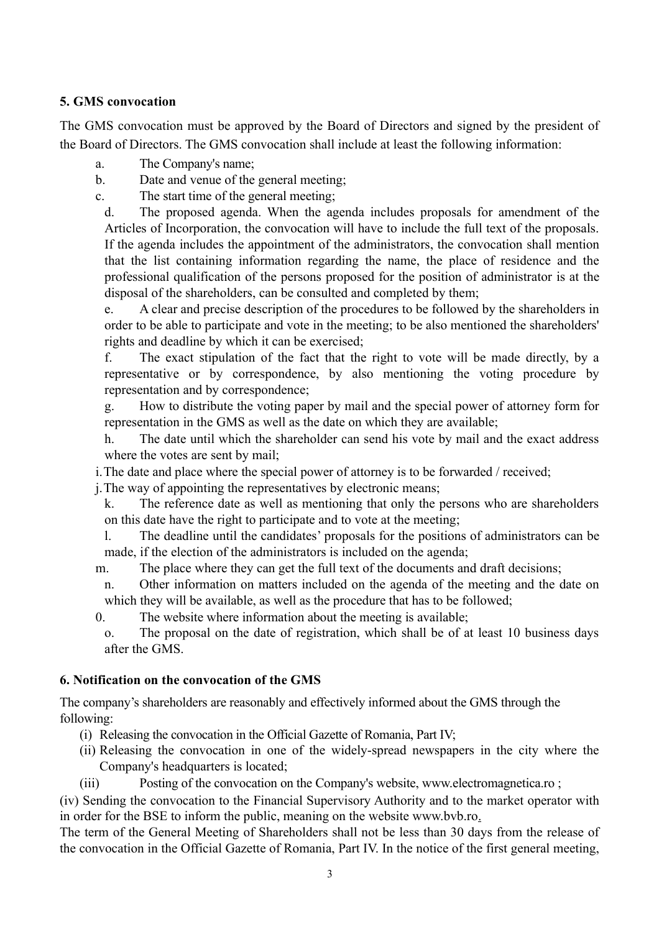## **5. GMS convocation**

The GMS convocation must be approved by the Board of Directors and signed by the president of the Board of Directors. The GMS convocation shall include at least the following information:

- a. The Company's name;
- b. Date and venue of the general meeting;

c. The start time of the general meeting;

d. The proposed agenda. When the agenda includes proposals for amendment of the Articles of Incorporation, the convocation will have to include the full text of the proposals. If the agenda includes the appointment of the administrators, the convocation shall mention that the list containing information regarding the name, the place of residence and the professional qualification of the persons proposed for the position of administrator is at the disposal of the shareholders, can be consulted and completed by them;

e. A clear and precise description of the procedures to be followed by the shareholders in order to be able to participate and vote in the meeting; to be also mentioned the shareholders' rights and deadline by which it can be exercised;

f. The exact stipulation of the fact that the right to vote will be made directly, by a representative or by correspondence, by also mentioning the voting procedure by representation and by correspondence;

g. How to distribute the voting paper by mail and the special power of attorney form for representation in the GMS as well as the date on which they are available;

h. The date until which the shareholder can send his vote by mail and the exact address where the votes are sent by mail;

i.The date and place where the special power of attorney is to be forwarded / received;

j.The way of appointing the representatives by electronic means;

- k. The reference date as well as mentioning that only the persons who are shareholders on this date have the right to participate and to vote at the meeting;
- l. The deadline until the candidates' proposals for the positions of administrators can be made, if the election of the administrators is included on the agenda;
- m. The place where they can get the full text of the documents and draft decisions;
- n. Other information on matters included on the agenda of the meeting and the date on which they will be available, as well as the procedure that has to be followed;
- 0. The website where information about the meeting is available;
- o. The proposal on the date of registration, which shall be of at least 10 business days after the GMS.

### **6. Notification on the convocation of the GMS**

The company's shareholders are reasonably and effectively informed about the GMS through the following:

- (i) Releasing the convocation in the Official Gazette of Romania, Part IV;
- (ii) Releasing the convocation in one of the widely-spread newspapers in the city where the Company's headquarters is located;
- (iii) Posting of the convocation on the Company's website, www.electromagnetica.ro ;

(iv) Sending the convocation to the Financial Supervisory Authority and to the market operator with in order for the BSE to inform the public, meaning on the website www.bvb.ro.

The term of the General Meeting of Shareholders shall not be less than 30 days from the release of the convocation in the Official Gazette of Romania, Part IV. In the notice of the first general meeting,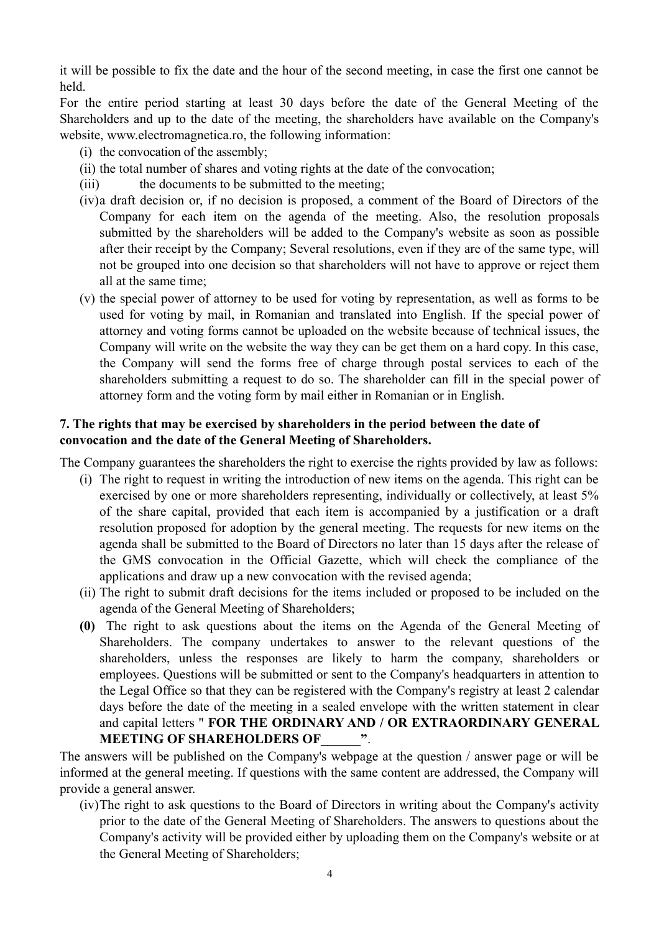it will be possible to fix the date and the hour of the second meeting, in case the first one cannot be held.

For the entire period starting at least 30 days before the date of the General Meeting of the Shareholders and up to the date of the meeting, the shareholders have available on the Company's website, www.electromagnetica.ro, the following information:

- (i) the convocation of the assembly;
- (ii) the total number of shares and voting rights at the date of the convocation;
- (iii) the documents to be submitted to the meeting;
- (iv)a draft decision or, if no decision is proposed, a comment of the Board of Directors of the Company for each item on the agenda of the meeting. Also, the resolution proposals submitted by the shareholders will be added to the Company's website as soon as possible after their receipt by the Company; Several resolutions, even if they are of the same type, will not be grouped into one decision so that shareholders will not have to approve or reject them all at the same time;
- (v) the special power of attorney to be used for voting by representation, as well as forms to be used for voting by mail, in Romanian and translated into English. If the special power of attorney and voting forms cannot be uploaded on the website because of technical issues, the Company will write on the website the way they can be get them on a hard copy. In this case, the Company will send the forms free of charge through postal services to each of the shareholders submitting a request to do so. The shareholder can fill in the special power of attorney form and the voting form by mail either in Romanian or in English.

#### **7. The rights that may be exercised by shareholders in the period between the date of convocation and the date of the General Meeting of Shareholders.**

The Company guarantees the shareholders the right to exercise the rights provided by law as follows:

- (i) The right to request in writing the introduction of new items on the agenda. This right can be exercised by one or more shareholders representing, individually or collectively, at least 5% of the share capital, provided that each item is accompanied by a justification or a draft resolution proposed for adoption by the general meeting. The requests for new items on the agenda shall be submitted to the Board of Directors no later than 15 days after the release of the GMS convocation in the Official Gazette, which will check the compliance of the applications and draw up a new convocation with the revised agenda;
- (ii) The right to submit draft decisions for the items included or proposed to be included on the agenda of the General Meeting of Shareholders;
- **(0)** The right to ask questions about the items on the Agenda of the General Meeting of Shareholders. The company undertakes to answer to the relevant questions of the shareholders, unless the responses are likely to harm the company, shareholders or employees. Questions will be submitted or sent to the Company's headquarters in attention to the Legal Office so that they can be registered with the Company's registry at least 2 calendar days before the date of the meeting in a sealed envelope with the written statement in clear and capital letters " **FOR THE ORDINARY AND / OR EXTRAORDINARY GENERAL MEETING OF SHAREHOLDERS OF\_\_\_\_\_\_"**.

The answers will be published on the Company's webpage at the question / answer page or will be informed at the general meeting. If questions with the same content are addressed, the Company will provide a general answer.

(iv)The right to ask questions to the Board of Directors in writing about the Company's activity prior to the date of the General Meeting of Shareholders. The answers to questions about the Company's activity will be provided either by uploading them on the Company's website or at the General Meeting of Shareholders;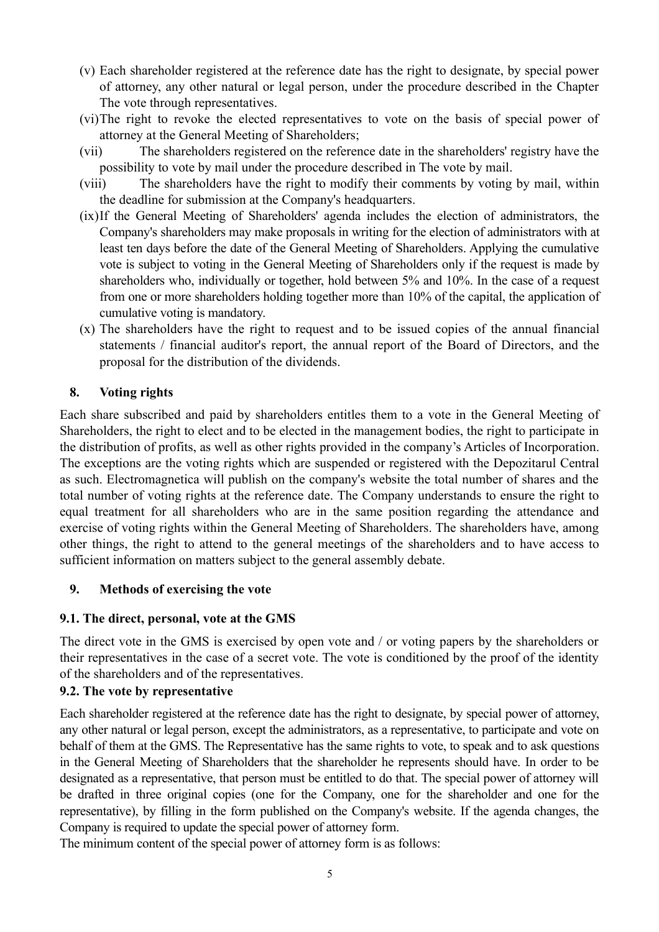- (v) Each shareholder registered at the reference date has the right to designate, by special power of attorney, any other natural or legal person, under the procedure described in the Chapter The vote through representatives.
- (vi)The right to revoke the elected representatives to vote on the basis of special power of attorney at the General Meeting of Shareholders;
- (vii) The shareholders registered on the reference date in the shareholders' registry have the possibility to vote by mail under the procedure described in The vote by mail.
- (viii) The shareholders have the right to modify their comments by voting by mail, within the deadline for submission at the Company's headquarters.
- (ix)If the General Meeting of Shareholders' agenda includes the election of administrators, the Company's shareholders may make proposals in writing for the election of administrators with at least ten days before the date of the General Meeting of Shareholders. Applying the cumulative vote is subject to voting in the General Meeting of Shareholders only if the request is made by shareholders who, individually or together, hold between 5% and 10%. In the case of a request from one or more shareholders holding together more than 10% of the capital, the application of cumulative voting is mandatory.
- (x) The shareholders have the right to request and to be issued copies of the annual financial statements / financial auditor's report, the annual report of the Board of Directors, and the proposal for the distribution of the dividends.

# **8. Voting rights**

Each share subscribed and paid by shareholders entitles them to a vote in the General Meeting of Shareholders, the right to elect and to be elected in the management bodies, the right to participate in the distribution of profits, as well as other rights provided in the company's Articles of Incorporation. The exceptions are the voting rights which are suspended or registered with the Depozitarul Central as such. Electromagnetica will publish on the company's website the total number of shares and the total number of voting rights at the reference date. The Company understands to ensure the right to equal treatment for all shareholders who are in the same position regarding the attendance and exercise of voting rights within the General Meeting of Shareholders. The shareholders have, among other things, the right to attend to the general meetings of the shareholders and to have access to sufficient information on matters subject to the general assembly debate.

### **9. Methods of exercising the vote**

# **9.1. The direct, personal, vote at the GMS**

The direct vote in the GMS is exercised by open vote and / or voting papers by the shareholders or their representatives in the case of a secret vote. The vote is conditioned by the proof of the identity of the shareholders and of the representatives.

### **9.2. The vote by representative**

Each shareholder registered at the reference date has the right to designate, by special power of attorney, any other natural or legal person, except the administrators, as a representative, to participate and vote on behalf of them at the GMS. The Representative has the same rights to vote, to speak and to ask questions in the General Meeting of Shareholders that the shareholder he represents should have. In order to be designated as a representative, that person must be entitled to do that. The special power of attorney will be drafted in three original copies (one for the Company, one for the shareholder and one for the representative), by filling in the form published on the Company's website. If the agenda changes, the Company is required to update the special power of attorney form.

The minimum content of the special power of attorney form is as follows: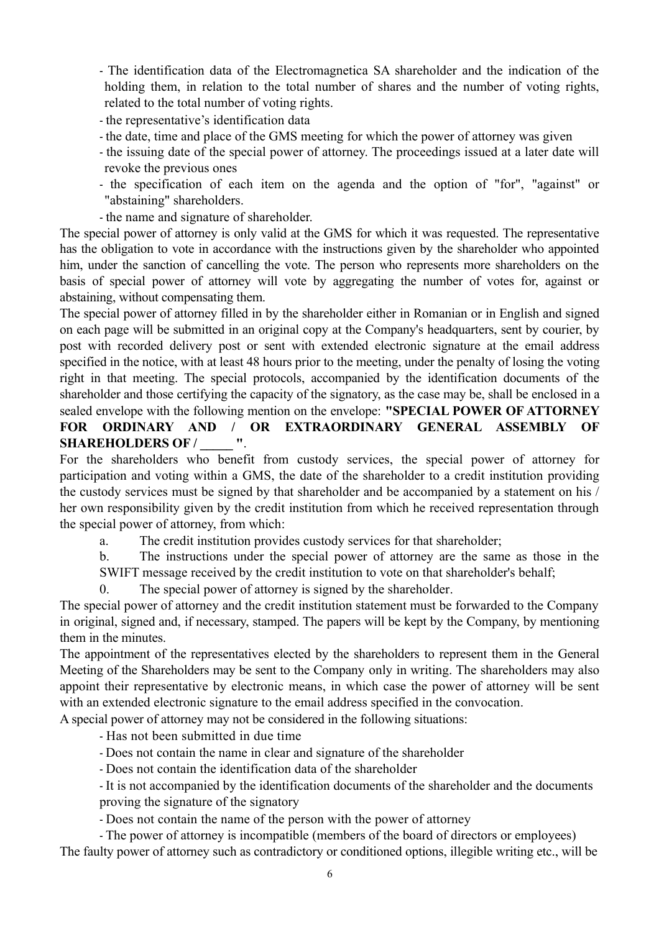- The identification data of the Electromagnetica SA shareholder and the indication of the holding them, in relation to the total number of shares and the number of voting rights, related to the total number of voting rights.

- the representative's identification data
- the date, time and place of the GMS meeting for which the power of attorney was given
- the issuing date of the special power of attorney. The proceedings issued at a later date will revoke the previous ones
- the specification of each item on the agenda and the option of "for", "against" or "abstaining" shareholders.
- the name and signature of shareholder.

The special power of attorney is only valid at the GMS for which it was requested. The representative has the obligation to vote in accordance with the instructions given by the shareholder who appointed him, under the sanction of cancelling the vote. The person who represents more shareholders on the basis of special power of attorney will vote by aggregating the number of votes for, against or abstaining, without compensating them.

The special power of attorney filled in by the shareholder either in Romanian or in English and signed on each page will be submitted in an original copy at the Company's headquarters, sent by courier, by post with recorded delivery post or sent with extended electronic signature at the email address specified in the notice, with at least 48 hours prior to the meeting, under the penalty of losing the voting right in that meeting. The special protocols, accompanied by the identification documents of the shareholder and those certifying the capacity of the signatory, as the case may be, shall be enclosed in a sealed envelope with the following mention on the envelope: **"SPECIAL POWER OF ATTORNEY FOR ORDINARY AND / OR EXTRAORDINARY GENERAL ASSEMBLY OF SHAREHOLDERS OF / \_\_\_\_\_ "**.

For the shareholders who benefit from custody services, the special power of attorney for participation and voting within a GMS, the date of the shareholder to a credit institution providing the custody services must be signed by that shareholder and be accompanied by a statement on his / her own responsibility given by the credit institution from which he received representation through the special power of attorney, from which:

a. The credit institution provides custody services for that shareholder;

b. The instructions under the special power of attorney are the same as those in the SWIFT message received by the credit institution to vote on that shareholder's behalf;

0. The special power of attorney is signed by the shareholder.

The special power of attorney and the credit institution statement must be forwarded to the Company in original, signed and, if necessary, stamped. The papers will be kept by the Company, by mentioning them in the minutes.

The appointment of the representatives elected by the shareholders to represent them in the General Meeting of the Shareholders may be sent to the Company only in writing. The shareholders may also appoint their representative by electronic means, in which case the power of attorney will be sent with an extended electronic signature to the email address specified in the convocation.

A special power of attorney may not be considered in the following situations:

- Has not been submitted in due time

- Does not contain the name in clear and signature of the shareholder
- Does not contain the identification data of the shareholder

- It is not accompanied by the identification documents of the shareholder and the documents proving the signature of the signatory

- Does not contain the name of the person with the power of attorney

- The power of attorney is incompatible (members of the board of directors or employees) The faulty power of attorney such as contradictory or conditioned options, illegible writing etc., will be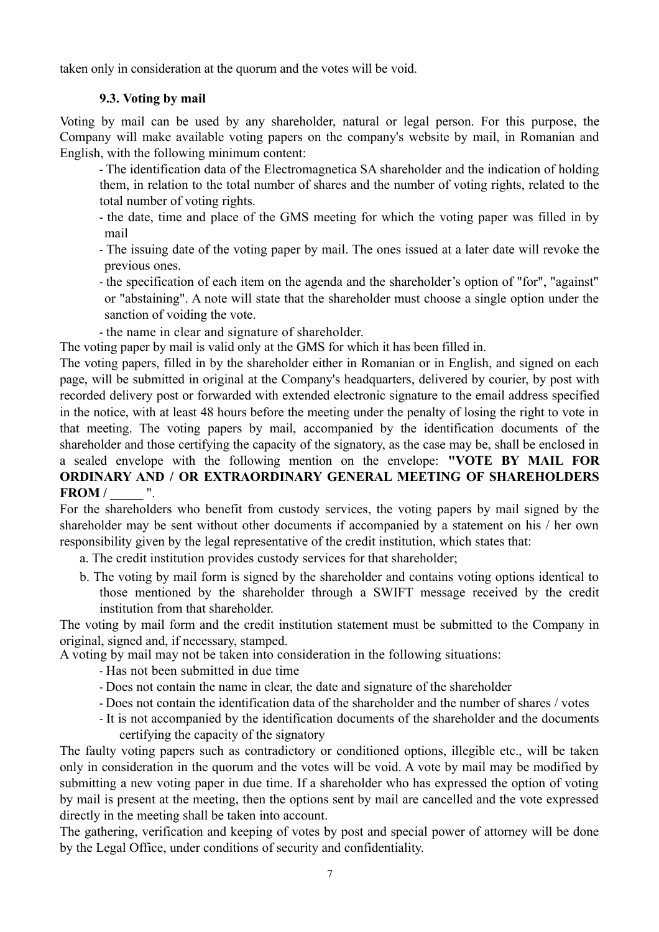taken only in consideration at the quorum and the votes will be void.

## **9.3. Voting by mail**

Voting by mail can be used by any shareholder, natural or legal person. For this purpose, the Company will make available voting papers on the company's website by mail, in Romanian and English, with the following minimum content:

- The identification data of the Electromagnetica SA shareholder and the indication of holding them, in relation to the total number of shares and the number of voting rights, related to the total number of voting rights.

- the date, time and place of the GMS meeting for which the voting paper was filled in by mail
- The issuing date of the voting paper by mail. The ones issued at a later date will revoke the previous ones.
- the specification of each item on the agenda and the shareholder's option of "for", "against" or "abstaining". A note will state that the shareholder must choose a single option under the sanction of voiding the vote.
- the name in clear and signature of shareholder.

The voting paper by mail is valid only at the GMS for which it has been filled in.

The voting papers, filled in by the shareholder either in Romanian or in English, and signed on each page, will be submitted in original at the Company's headquarters, delivered by courier, by post with recorded delivery post or forwarded with extended electronic signature to the email address specified in the notice, with at least 48 hours before the meeting under the penalty of losing the right to vote in that meeting. The voting papers by mail, accompanied by the identification documents of the shareholder and those certifying the capacity of the signatory, as the case may be, shall be enclosed in a sealed envelope with the following mention on the envelope: **"VOTE BY MAIL FOR ORDINARY AND / OR EXTRAORDINARY GENERAL MEETING OF SHAREHOLDERS FROM** /  $\blacksquare$ 

For the shareholders who benefit from custody services, the voting papers by mail signed by the shareholder may be sent without other documents if accompanied by a statement on his / her own responsibility given by the legal representative of the credit institution, which states that:

- a. The credit institution provides custody services for that shareholder;
- b. The voting by mail form is signed by the shareholder and contains voting options identical to those mentioned by the shareholder through a SWIFT message received by the credit institution from that shareholder.

The voting by mail form and the credit institution statement must be submitted to the Company in original, signed and, if necessary, stamped.

A voting by mail may not be taken into consideration in the following situations:

- Has not been submitted in due time
- Does not contain the name in clear, the date and signature of the shareholder
- Does not contain the identification data of the shareholder and the number of shares / votes
- It is not accompanied by the identification documents of the shareholder and the documents certifying the capacity of the signatory

The faulty voting papers such as contradictory or conditioned options, illegible etc., will be taken only in consideration in the quorum and the votes will be void. A vote by mail may be modified by submitting a new voting paper in due time. If a shareholder who has expressed the option of voting by mail is present at the meeting, then the options sent by mail are cancelled and the vote expressed directly in the meeting shall be taken into account.

The gathering, verification and keeping of votes by post and special power of attorney will be done by the Legal Office, under conditions of security and confidentiality.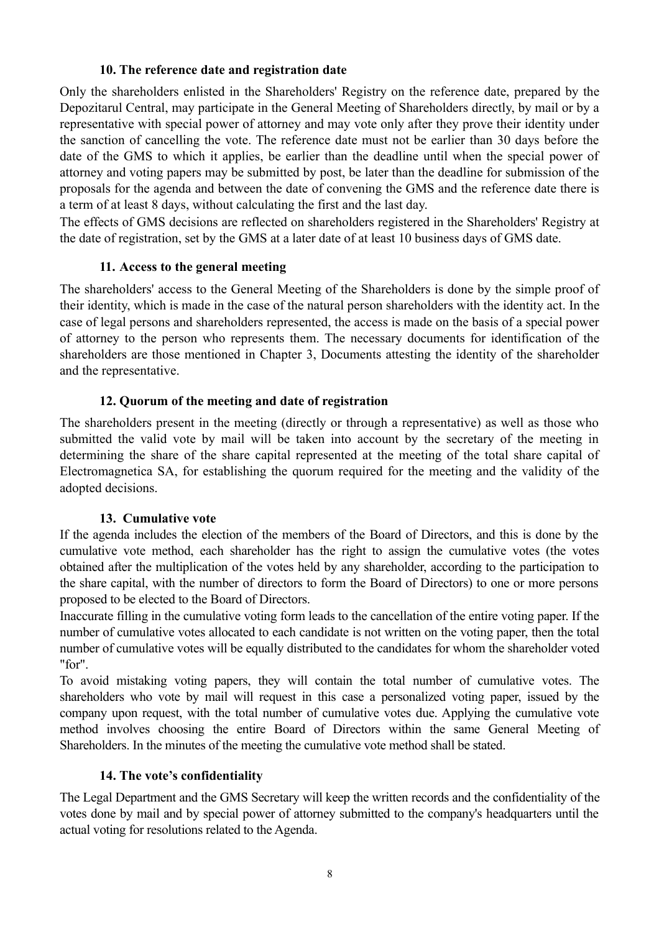### **10. The reference date and registration date**

Only the shareholders enlisted in the Shareholders' Registry on the reference date, prepared by the Depozitarul Central, may participate in the General Meeting of Shareholders directly, by mail or by a representative with special power of attorney and may vote only after they prove their identity under the sanction of cancelling the vote. The reference date must not be earlier than 30 days before the date of the GMS to which it applies, be earlier than the deadline until when the special power of attorney and voting papers may be submitted by post, be later than the deadline for submission of the proposals for the agenda and between the date of convening the GMS and the reference date there is a term of at least 8 days, without calculating the first and the last day.

The effects of GMS decisions are reflected on shareholders registered in the Shareholders' Registry at the date of registration, set by the GMS at a later date of at least 10 business days of GMS date.

### **11. Access to the general meeting**

The shareholders' access to the General Meeting of the Shareholders is done by the simple proof of their identity, which is made in the case of the natural person shareholders with the identity act. In the case of legal persons and shareholders represented, the access is made on the basis of a special power of attorney to the person who represents them. The necessary documents for identification of the shareholders are those mentioned in Chapter 3, Documents attesting the identity of the shareholder and the representative.

### **12. Quorum of the meeting and date of registration**

The shareholders present in the meeting (directly or through a representative) as well as those who submitted the valid vote by mail will be taken into account by the secretary of the meeting in determining the share of the share capital represented at the meeting of the total share capital of Electromagnetica SA, for establishing the quorum required for the meeting and the validity of the adopted decisions.

### **13. Cumulative vote**

If the agenda includes the election of the members of the Board of Directors, and this is done by the cumulative vote method, each shareholder has the right to assign the cumulative votes (the votes obtained after the multiplication of the votes held by any shareholder, according to the participation to the share capital, with the number of directors to form the Board of Directors) to one or more persons proposed to be elected to the Board of Directors.

Inaccurate filling in the cumulative voting form leads to the cancellation of the entire voting paper. If the number of cumulative votes allocated to each candidate is not written on the voting paper, then the total number of cumulative votes will be equally distributed to the candidates for whom the shareholder voted "for".

To avoid mistaking voting papers, they will contain the total number of cumulative votes. The shareholders who vote by mail will request in this case a personalized voting paper, issued by the company upon request, with the total number of cumulative votes due. Applying the cumulative vote method involves choosing the entire Board of Directors within the same General Meeting of Shareholders. In the minutes of the meeting the cumulative vote method shall be stated.

### **14. The vote's confidentiality**

The Legal Department and the GMS Secretary will keep the written records and the confidentiality of the votes done by mail and by special power of attorney submitted to the company's headquarters until the actual voting for resolutions related to the Agenda.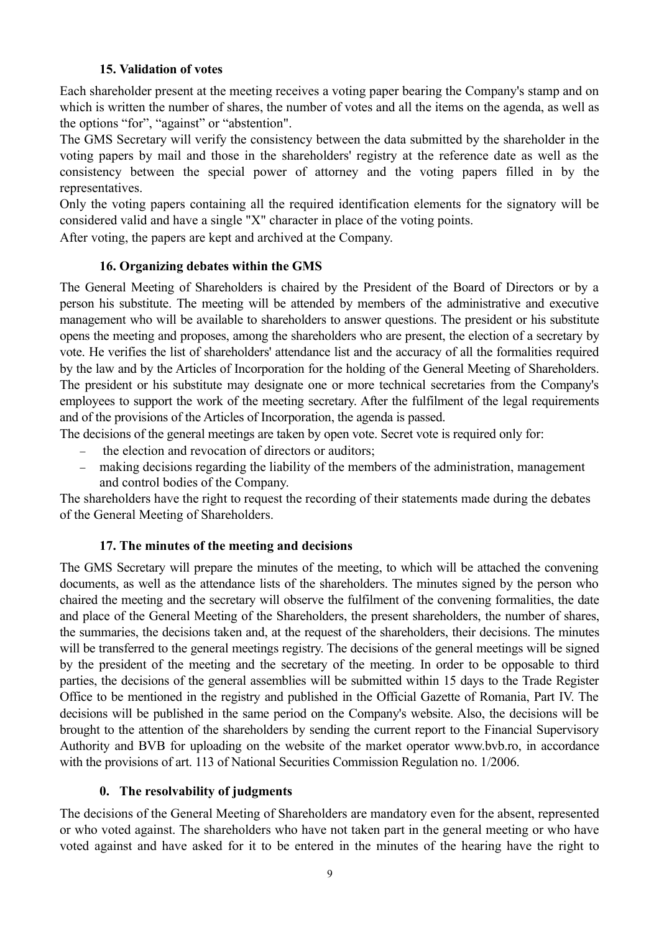### **15. Validation of votes**

Each shareholder present at the meeting receives a voting paper bearing the Company's stamp and on which is written the number of shares, the number of votes and all the items on the agenda, as well as the options "for", "against" or "abstention".

The GMS Secretary will verify the consistency between the data submitted by the shareholder in the voting papers by mail and those in the shareholders' registry at the reference date as well as the consistency between the special power of attorney and the voting papers filled in by the representatives.

Only the voting papers containing all the required identification elements for the signatory will be considered valid and have a single "X" character in place of the voting points.

After voting, the papers are kept and archived at the Company.

### **16. Organizing debates within the GMS**

The General Meeting of Shareholders is chaired by the President of the Board of Directors or by a person his substitute. The meeting will be attended by members of the administrative and executive management who will be available to shareholders to answer questions. The president or his substitute opens the meeting and proposes, among the shareholders who are present, the election of a secretary by vote. He verifies the list of shareholders' attendance list and the accuracy of all the formalities required by the law and by the Articles of Incorporation for the holding of the General Meeting of Shareholders. The president or his substitute may designate one or more technical secretaries from the Company's employees to support the work of the meeting secretary. After the fulfilment of the legal requirements and of the provisions of the Articles of Incorporation, the agenda is passed.

The decisions of the general meetings are taken by open vote. Secret vote is required only for:

- the election and revocation of directors or auditors;
- making decisions regarding the liability of the members of the administration, management and control bodies of the Company.

The shareholders have the right to request the recording of their statements made during the debates of the General Meeting of Shareholders.

### **17. The minutes of the meeting and decisions**

The GMS Secretary will prepare the minutes of the meeting, to which will be attached the convening documents, as well as the attendance lists of the shareholders. The minutes signed by the person who chaired the meeting and the secretary will observe the fulfilment of the convening formalities, the date and place of the General Meeting of the Shareholders, the present shareholders, the number of shares, the summaries, the decisions taken and, at the request of the shareholders, their decisions. The minutes will be transferred to the general meetings registry. The decisions of the general meetings will be signed by the president of the meeting and the secretary of the meeting. In order to be opposable to third parties, the decisions of the general assemblies will be submitted within 15 days to the Trade Register Office to be mentioned in the registry and published in the Official Gazette of Romania, Part IV. The decisions will be published in the same period on the Company's website. Also, the decisions will be brought to the attention of the shareholders by sending the current report to the Financial Supervisory Authority and BVB for uploading on the website of the market operator www.bvb.ro, in accordance with the provisions of art. 113 of National Securities Commission Regulation no. 1/2006.

#### **0. The resolvability of judgments**

The decisions of the General Meeting of Shareholders are mandatory even for the absent, represented or who voted against. The shareholders who have not taken part in the general meeting or who have voted against and have asked for it to be entered in the minutes of the hearing have the right to